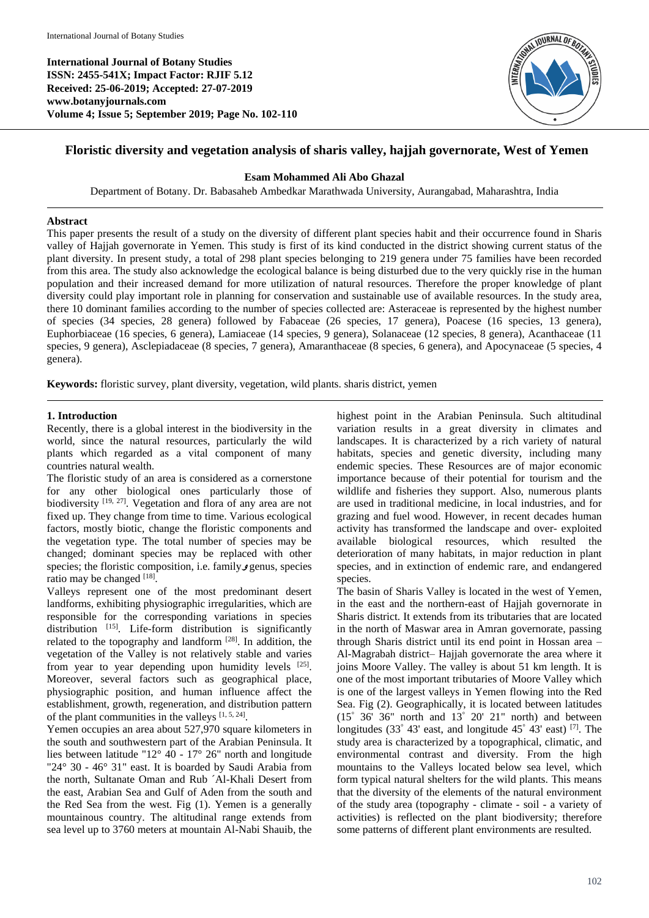**International Journal of Botany Studies ISSN: 2455-541X; Impact Factor: RJIF 5.12 Received: 25-06-2019; Accepted: 27-07-2019 www.botanyjournals.com Volume 4; Issue 5; September 2019; Page No. 102-110**



# **Floristic diversity and vegetation analysis of sharis valley, hajjah governorate, West of Yemen**

## **Esam Mohammed Ali Abo Ghazal**

Department of Botany. Dr. Babasaheb Ambedkar Marathwada University, Aurangabad, Maharashtra, India

## **Abstract**

This paper presents the result of a study on the diversity of different plant species habit and their occurrence found in Sharis valley of Hajjah governorate in Yemen. This study is first of its kind conducted in the district showing current status of the plant diversity. In present study, a total of 298 plant species belonging to 219 genera under 75 families have been recorded from this area. The study also acknowledge the ecological balance is being disturbed due to the very quickly rise in the human population and their increased demand for more utilization of natural resources. Therefore the proper knowledge of plant diversity could play important role in planning for conservation and sustainable use of available resources. In the study area, there 10 dominant families according to the number of species collected are: Asteraceae is represented by the highest number of species (34 species, 28 genera) followed by Fabaceae (26 species, 17 genera), Poacese (16 species, 13 genera), Euphorbiaceae (16 species, 6 genera), Lamiaceae (14 species, 9 genera), Solanaceae (12 species, 8 genera), Acanthaceae (11 species, 9 genera), Asclepiadaceae (8 species, 7 genera), Amaranthaceae (8 species, 6 genera), and Apocynaceae (5 species, 4 genera).

**Keywords:** floristic survey, plant diversity, vegetation, wild plants. sharis district, yemen

## **1. Introduction**

Recently, there is a global interest in the biodiversity in the world, since the natural resources, particularly the wild plants which regarded as a vital component of many countries natural wealth.

The floristic study of an area is considered as a cornerstone for any other biological ones particularly those of biodiversity [19, 27]. Vegetation and flora of any area are not fixed up. They change from time to time. Various ecological factors, mostly biotic, change the floristic components and the vegetation type. The total number of species may be changed; dominant species may be replaced with other species; the floristic composition, i.e. family**<sup>و</sup>** genus, species ratio may be changed [18].

Valleys represent one of the most predominant desert landforms, exhibiting physiographic irregularities, which are responsible for the corresponding variations in species distribution [15]. Life-form distribution is significantly related to the topography and landform [28]. In addition, the vegetation of the Valley is not relatively stable and varies from year to year depending upon humidity levels [25]. Moreover, several factors such as geographical place, physiographic position, and human influence affect the establishment, growth, regeneration, and distribution pattern of the plant communities in the valleys  $[1, 5, 24]$ .

Yemen occupies an area about 527,970 square kilometers in the south and southwestern part of the Arabian Peninsula. It lies between latitude "12° 40 - 17° 26" north and longitude "24° 30 - 46° 31" east. It is boarded by Saudi Arabia from the north, Sultanate Oman and Rub ´Al-Khali Desert from the east, Arabian Sea and Gulf of Aden from the south and the Red Sea from the west. Fig (1). Yemen is a generally mountainous country. The altitudinal range extends from sea level up to 3760 meters at mountain Al-Nabi Shauib, the highest point in the Arabian Peninsula. Such altitudinal variation results in a great diversity in climates and landscapes. It is characterized by a rich variety of natural habitats, species and genetic diversity, including many endemic species. These Resources are of major economic importance because of their potential for tourism and the wildlife and fisheries they support. Also, numerous plants are used in traditional medicine, in local industries, and for grazing and fuel wood. However, in recent decades human activity has transformed the landscape and over- exploited available biological resources, which resulted the deterioration of many habitats, in major reduction in plant species, and in extinction of endemic rare, and endangered species.

The basin of Sharis Valley is located in the west of Yemen, in the east and the northern-east of Hajjah governorate in Sharis district. It extends from its tributaries that are located in the north of Maswar area in Amran governorate, passing through Sharis district until its end point in Hossan area – Al-Magrabah district– Hajjah governorate the area where it joins Moore Valley. The valley is about 51 km length. It is one of the most important tributaries of Moore Valley which is one of the largest valleys in Yemen flowing into the Red Sea. Fig (2). Geographically, it is located between latitudes  $(15^{\degree} 36' 36''$  north and  $13^{\degree} 20' 21''$  north) and between longitudes (33° 43' east, and longitude 45° 43' east) <sup>[7]</sup>. The study area is characterized by a topographical, climatic, and environmental contrast and diversity. From the high mountains to the Valleys located below sea level, which form typical natural shelters for the wild plants. This means that the diversity of the elements of the natural environment of the study area (topography - climate - soil - a variety of activities) is reflected on the plant biodiversity; therefore some patterns of different plant environments are resulted.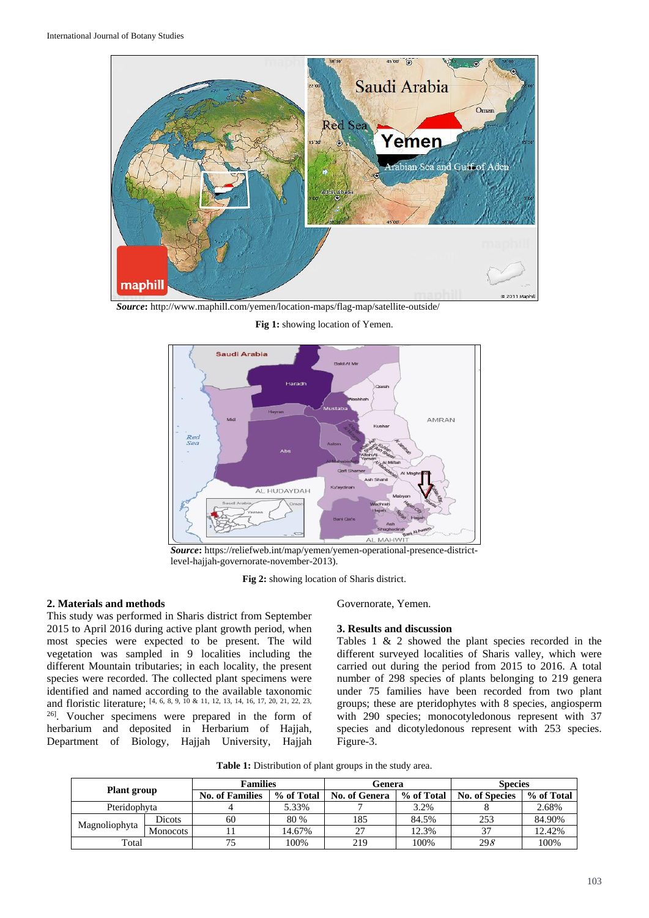

*Source***:** http://www.maphill.com/yemen/location-maps/flag-map/satellite-outside/

**Fig 1:** showing location of Yemen.



*Source***:** https://reliefweb.int/map/yemen/yemen-operational-presence-districtlevel-hajjah-governorate-november-2013).

**Fig 2:** showing location of Sharis district.

#### **2. Materials and methods**

This study was performed in Sharis district from September 2015 to April 2016 during active plant growth period, when most species were expected to be present. The wild vegetation was sampled in 9 localities including the different Mountain tributaries; in each locality, the present species were recorded. The collected plant specimens were identified and named according to the available taxonomic and floristic literature; [4, 6, 8, 9, 10 & 11, 12, 13, 14, 16, 17, 20, 21, 22, 23, 26]. Voucher specimens were prepared in the form of herbarium and deposited in Herbarium of Hajjah, Department of Biology, Hajjah University, Hajjah Governorate, Yemen.

#### **3. Results and discussion**

Tables 1 & 2 showed the plant species recorded in the different surveyed localities of Sharis valley, which were carried out during the period from 2015 to 2016. A total number of 298 species of plants belonging to 219 genera under 75 families have been recorded from two plant groups; these are pteridophytes with 8 species, angiosperm with 290 species; monocotyledonous represent with 37 species and dicotyledonous represent with 253 species. Figure-3.

**Table 1:** Distribution of plant groups in the study area.

| Plant group   |                 | <b>Families</b>        |            | Genera        |            | <b>Species</b>        |            |
|---------------|-----------------|------------------------|------------|---------------|------------|-----------------------|------------|
|               |                 | <b>No. of Families</b> | % of Total | No. of Genera | % of Total | <b>No. of Species</b> | % of Total |
| Pteridophyta  |                 |                        | 5.33%      |               | 3.2%       |                       | 2.68%      |
| Magnoliophyta | Dicots          | 60                     | 80 %       | 185           | 84.5%      | 253                   | 84.90%     |
|               | <b>Monocots</b> |                        | 14.67%     | 27            | 12.3%      | 37                    | 12.42%     |
| Total         |                 |                        | 100%       | 219           | 100%       | 298                   | 100%       |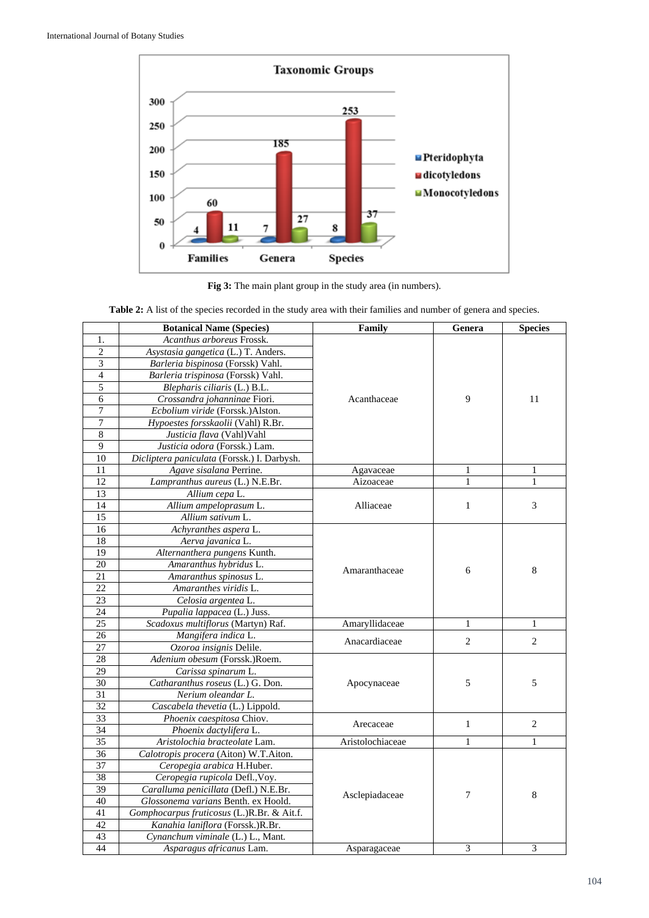

**Fig 3:** The main plant group in the study area (in numbers).

**Table 2:** A list of the species recorded in the study area with their families and number of genera and species.

|                 | <b>Botanical Name (Species)</b>             | Family           | Genera         | <b>Species</b> |
|-----------------|---------------------------------------------|------------------|----------------|----------------|
| 1.              | Acanthus arboreus Frossk.                   |                  |                |                |
| $\overline{2}$  | Asystasia gangetica (L.) T. Anders.         |                  |                |                |
| 3               | Barleria bispinosa (Forssk) Vahl.           |                  |                | 11             |
| $\overline{4}$  | Barleria trispinosa (Forssk) Vahl.          |                  |                |                |
| 5               | Blepharis ciliaris (L.) B.L.                |                  |                |                |
| $\overline{6}$  | Crossandra johanninae Fiori.                | Acanthaceae      | 9              |                |
| $\overline{7}$  | Ecbolium viride (Forssk.)Alston.            |                  |                |                |
| 7               | Hypoestes forsskaolii (Vahl) R.Br.          |                  |                |                |
| 8               | Justicia flava (Vahl) Vahl                  |                  |                |                |
| 9               | Justicia odora (Forssk.) Lam.               |                  |                |                |
| 10              | Dicliptera paniculata (Forssk.) I. Darbysh. |                  |                |                |
| 11              | Agave sisalana Perrine.                     | Agavaceae        | $\mathbf{1}$   | $\mathbf{1}$   |
| 12              | Lampranthus aureus (L.) N.E.Br.             | Aizoaceae        | 1              | $\mathbf{1}$   |
| 13              | Allium cepa L.                              |                  |                |                |
| 14              | Allium ampeloprasum L.                      | Alliaceae        | $\mathbf{1}$   | 3              |
| 15              | Allium sativum L.                           |                  |                |                |
| 16              | Achyranthes aspera L.                       |                  |                |                |
| 18              | Aerva javanica L.                           |                  |                | 8              |
| 19              | Alternanthera pungens Kunth.                |                  |                |                |
| 20              | Amaranthus hybridus L.                      | Amaranthaceae    | 6              |                |
| $\overline{21}$ | Amaranthus spinosus L.                      |                  |                |                |
| 22              | Amaranthes viridis L.                       |                  |                |                |
| 23              | Celosia argentea L.                         |                  |                |                |
| 24              | Pupalia lappacea (L.) Juss.                 |                  |                |                |
| 25              | Scadoxus multiflorus (Martyn) Raf.          | Amaryllidaceae   | $\mathbf{1}$   | $\mathbf{1}$   |
| 26              | Mangifera indica L.                         | Anacardiaceae    | 2              | $\overline{2}$ |
| 27              | Ozoroa insignis Delile.                     |                  |                |                |
| 28              | Adenium obesum (Forssk.)Roem.               |                  |                |                |
| 29              | Carissa spinarum L.                         |                  |                |                |
| 30              | Catharanthus roseus (L.) G. Don.            | Apocynaceae      | 5              | 5              |
| $\overline{31}$ | Nerium oleandar L.                          |                  |                |                |
| 32              | Cascabela thevetia (L.) Lippold.            |                  |                |                |
| 33              | Phoenix caespitosa Chiov.                   | Arecaceae        | $\mathbf{1}$   | $\overline{c}$ |
| 34              | Phoenix dactylifera L.                      |                  |                |                |
| 35              | Aristolochia bracteolate Lam.               | Aristolochiaceae | 1              | 1              |
| 36              | Calotropis procera (Aiton) W.T.Aiton.       |                  |                |                |
| 37              | Ceropegia arabica H.Huber.                  |                  |                |                |
| 38              | Ceropegia rupicola Defl., Voy.              |                  |                |                |
| $\overline{39}$ | Caralluma penicillata (Defl.) N.E.Br.       | Asclepiadaceae   | $\overline{7}$ | $\,8\,$        |
| 40              | Glossonema varians Benth. ex Hoold.         |                  |                |                |
| 41              | Gomphocarpus fruticosus (L.)R.Br. & Ait.f.  |                  |                |                |
| 42              | Kanahia laniflora (Forssk.)R.Br.            |                  |                |                |
| 43              | Cynanchum viminale (L.) L., Mant.           |                  |                |                |
| 44              | Asparagus africanus Lam.                    | Asparagaceae     | 3              | 3              |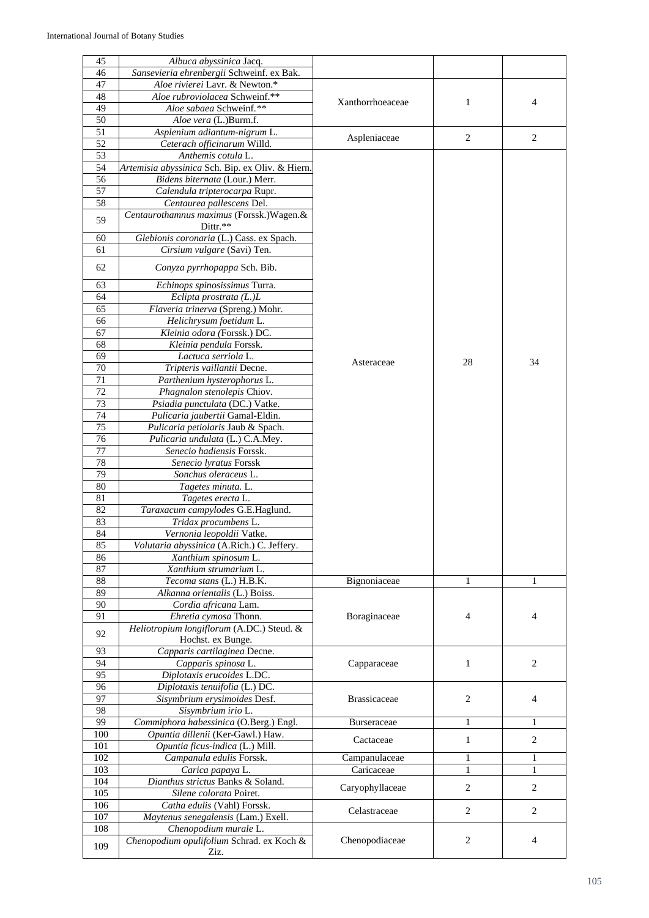| 45  | Albuca abyssinica Jacq.                         |                     |                |                |
|-----|-------------------------------------------------|---------------------|----------------|----------------|
| 46  | Sansevieria ehrenbergii Schweinf. ex Bak.       |                     |                |                |
| 47  | Aloe rivierei Lavr. & Newton.*                  |                     |                |                |
| 48  | Aloe rubroviolacea Schweinf.**                  |                     |                |                |
| 49  | Aloe sabaea Schweinf.**                         | Xanthorrhoeaceae    | $\mathbf{1}$   | 4              |
| 50  | Aloe vera (L.)Burm.f.                           |                     |                |                |
| 51  | Asplenium adiantum-nigrum L.                    |                     |                |                |
| 52  | Ceterach officinarum Willd.                     | Aspleniaceae        | 2              | 2              |
| 53  | Anthemis cotula L.                              |                     |                |                |
| 54  | Artemisia abyssinica Sch. Bip. ex Oliv. & Hiern |                     |                |                |
| 56  | Bidens biternata (Lour.) Merr.                  |                     |                |                |
| 57  | Calendula tripterocarpa Rupr.                   |                     |                |                |
| 58  | Centaurea pallescens Del.                       |                     |                |                |
|     |                                                 |                     |                |                |
| 59  | Centaurothamnus maximus (Forssk.) Wagen.&       |                     |                |                |
|     | Dittr.**                                        |                     |                |                |
| 60  | Glebionis coronaria (L.) Cass. ex Spach.        |                     |                |                |
| 61  | Cirsium vulgare (Savi) Ten.                     |                     |                |                |
| 62  | Conyza pyrrhopappa Sch. Bib.                    |                     |                |                |
|     |                                                 |                     |                |                |
| 63  | Echinops spinosissimus Turra.                   |                     |                |                |
| 64  | Eclipta prostrata (L.)L                         |                     |                |                |
| 65  | Flaveria trinerva (Spreng.) Mohr.               |                     |                |                |
| 66  | Helichrysum foetidum L.                         |                     |                |                |
| 67  | Kleinia odora (Forssk.) DC.                     |                     |                |                |
| 68  | Kleinia pendula Forssk.                         |                     |                |                |
| 69  | Lactuca serriola L.                             |                     |                |                |
| 70  | Tripteris vaillantii Decne.                     | Asteraceae          | 28             | 34             |
| 71  | Parthenium hysterophorus L.                     |                     |                |                |
| 72  | Phagnalon stenolepis Chiov.                     |                     |                |                |
| 73  | Psiadia punctulata (DC.) Vatke.                 |                     |                |                |
| 74  | Pulicaria jaubertii Gamal-Eldin.                |                     |                |                |
| 75  | Pulicaria petiolaris Jaub & Spach.              |                     |                |                |
| 76  | Pulicaria undulata (L.) C.A.Mey.                |                     |                |                |
| 77  | Senecio hadiensis Forssk.                       |                     |                |                |
| 78  | Senecio lyratus Forssk                          |                     |                |                |
| 79  | Sonchus oleraceus L.                            |                     |                |                |
| 80  |                                                 |                     |                |                |
|     | Tagetes minuta. L.                              |                     |                |                |
| 81  | Tagetes erecta L.                               |                     |                |                |
| 82  | Taraxacum campylodes G.E.Haglund.               |                     |                |                |
| 83  | Tridax procumbens L.                            |                     |                |                |
| 84  | Vernonia leopoldii Vatke.                       |                     |                |                |
| 85  | Volutaria abyssinica (A.Rich.) C. Jeffery.      |                     |                |                |
| 86  | Xanthium spinosum L.                            |                     |                |                |
| 87  | Xanthium strumarium L.                          |                     |                |                |
| 88  | Tecoma stans (L.) H.B.K.                        | Bignoniaceae        | $\mathbf{1}$   | 1              |
| 89  | Alkanna orientalis (L.) Boiss.                  |                     |                |                |
| 90  | Cordia africana Lam.                            |                     |                |                |
| 91  | Ehretia cymosa Thonn.                           | Boraginaceae        | 4              | 4              |
| 92  | Heliotropium longiflorum (A.DC.) Steud. &       |                     |                |                |
|     | Hochst. ex Bunge.                               |                     |                |                |
| 93  | Capparis cartilaginea Decne.                    |                     |                |                |
| 94  | Capparis spinosa L.                             | Capparaceae         | $\mathbf{1}$   | $\overline{c}$ |
| 95  | Diplotaxis erucoides L.DC.                      |                     |                |                |
| 96  | Diplotaxis tenuifolia (L.) DC.                  |                     |                |                |
| 97  | Sisymbrium erysimoides Desf.                    | <b>Brassicaceae</b> | 2              | 4              |
| 98  | Sisymbrium irio L.                              |                     |                |                |
| 99  | Commiphora habessinica (O.Berg.) Engl.          | Burseraceae         | 1              | 1              |
| 100 | Opuntia dillenii (Ker-Gawl.) Haw.               |                     |                |                |
| 101 | Opuntia ficus-indica (L.) Mill.                 | Cactaceae           | $\mathbf{1}$   | 2              |
| 102 | Campanula edulis Forssk.                        | Campanulaceae       | 1              | 1              |
| 103 | Carica papaya L.                                | Caricaceae          | $\mathbf{1}$   | $\mathbf{1}$   |
| 104 | Dianthus strictus Banks & Soland.               |                     |                |                |
| 105 | Silene colorata Poiret.                         | Caryophyllaceae     | $\mathfrak{2}$ | $\overline{c}$ |
| 106 | Catha edulis (Vahl) Forssk.                     |                     |                |                |
| 107 | Maytenus senegalensis (Lam.) Exell.             | Celastraceae        | $\mathbf{2}$   | 2              |
| 108 | Chenopodium murale L.                           |                     |                |                |
|     | Chenopodium opulifolium Schrad. ex Koch &       | Chenopodiaceae      | 2              | 4              |
| 109 | Ziz.                                            |                     |                |                |
|     |                                                 |                     |                |                |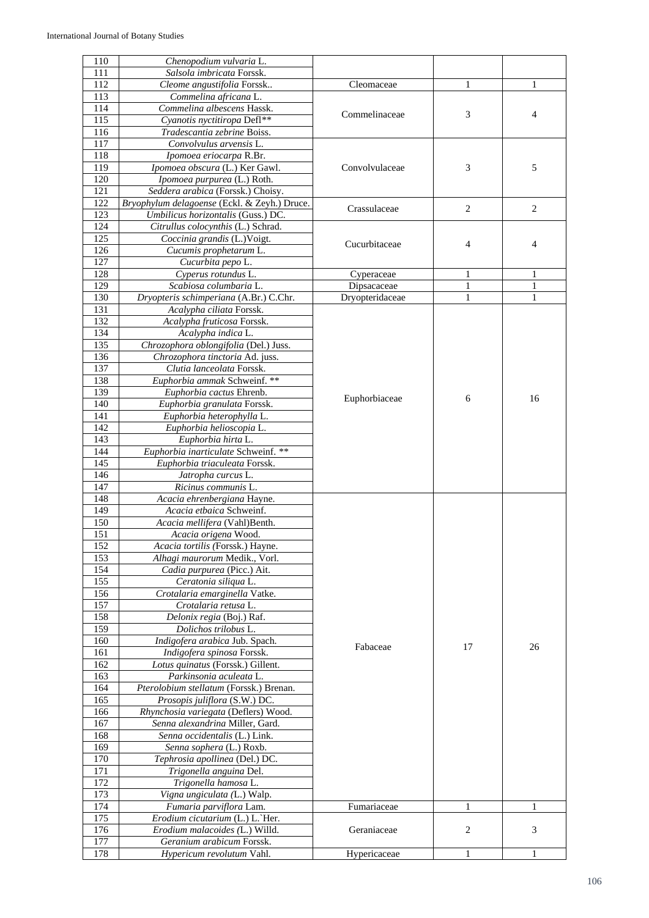| 110              | Chenopodium vulvaria L.                      |                 |    |                |
|------------------|----------------------------------------------|-----------------|----|----------------|
| 111              | Salsola imbricata Forssk.                    |                 |    |                |
| 112              | Cleome angustifolia Forssk                   | Cleomaceae      | 1  | 1              |
| 113              | Commelina africana L.                        |                 |    |                |
| 114              | Commelina albescens Hassk.                   | Commelinaceae   | 3  | $\overline{4}$ |
| $11\overline{5}$ | Cyanotis nyctitiropa Defl**                  |                 |    |                |
| 116              | Tradescantia zebrine Boiss.                  |                 |    |                |
| 117              | Convolvulus arvensis L.                      |                 |    |                |
| 118              | Ipomoea eriocarpa R.Br.                      |                 |    |                |
| 119              | Ipomoea obscura (L.) Ker Gawl.               | Convolvulaceae  | 3  | 5              |
| 120              | Ipomoea purpurea (L.) Roth.                  |                 |    |                |
| 121              | Seddera arabica (Forssk.) Choisy.            |                 |    |                |
| 122              | Bryophylum delagoense (Eckl. & Zeyh.) Druce. | Crassulaceae    | 2  | 2              |
| 123              | Umbilicus horizontalis (Guss.) DC.           |                 |    |                |
| 124              | Citrullus colocynthis (L.) Schrad.           |                 |    |                |
| 125              | Coccinia grandis (L.)Voigt.                  | Cucurbitaceae   | 4  | $\overline{4}$ |
| 126              | Cucumis prophetarum L.                       |                 |    |                |
| 127              | Cucurbita pepo L.                            |                 |    |                |
| 128              | Cyperus rotundus L.                          | Cyperaceae      | 1  | 1              |
| 129              | Scabiosa columbaria L.                       | Dipsacaceae     | 1  | 1              |
| 130              | Dryopteris schimperiana (A.Br.) C.Chr.       | Dryopteridaceae | 1  | 1              |
| 131              | Acalypha ciliata Forssk.                     |                 |    |                |
| 132              | Acalypha fruticosa Forssk.                   |                 |    |                |
| 134              | Acalypha indica L.                           |                 |    |                |
| 135              | Chrozophora oblongifolia (Del.) Juss.        |                 |    |                |
| 136              | Chrozophora tinctoria Ad. juss.              |                 |    |                |
| 137              | Clutia lanceolata Forssk.                    |                 |    |                |
| 138              | Euphorbia ammak Schweinf. **                 |                 |    |                |
| 139              | Euphorbia cactus Ehrenb.                     |                 | 6  | 16             |
| 140              | Euphorbia granulata Forssk.                  | Euphorbiaceae   |    |                |
| 141              | Euphorbia heterophylla L.                    |                 |    |                |
| 142              | Euphorbia helioscopia L.                     |                 |    |                |
| 143              | Euphorbia hirta L.                           |                 |    |                |
| 144              | Euphorbia inarticulate Schweinf. **          |                 |    |                |
| 145              | Euphorbia triaculeata Forssk.                |                 |    |                |
| 146              | Jatropha curcus L.                           |                 |    |                |
| 147              | Ricinus communis L.                          |                 |    |                |
| 148              | Acacia ehrenbergiana Hayne.                  |                 |    |                |
| 149              | Acacia etbaica Schweinf.                     |                 |    |                |
| 150              | Acacia mellifera (Vahl)Benth.                |                 |    |                |
| 151              | Acacia origena Wood.                         |                 |    |                |
| 152              | Acacia tortilis (Forssk.) Hayne.             |                 |    |                |
| 153              | Alhagi maurorum Medik., Vorl.                |                 |    |                |
| 154              | Cadia purpurea (Picc.) Ait.                  |                 |    |                |
| 155              | Ceratonia siliqua L.                         |                 |    |                |
| 156              | Crotalaria emarginella Vatke.                |                 |    |                |
| 157              | Crotalaria retusa L.                         |                 |    |                |
| 158              | Delonix regia (Boj.) Raf.                    |                 |    |                |
| 159              | Dolichos trilobus L.                         |                 |    |                |
| 160              | Indigofera arabica Jub. Spach.               | Fabaceae        | 17 | 26             |
| 161              | Indigofera spinosa Forssk.                   |                 |    |                |
| 162              | Lotus quinatus (Forssk.) Gillent.            |                 |    |                |
| 163              | Parkinsonia aculeata L.                      |                 |    |                |
| 164              | Pterolobium stellatum (Forssk.) Brenan.      |                 |    |                |
| 165              | Prosopis juliflora (S.W.) DC.                |                 |    |                |
| 166              | Rhynchosia variegata (Deflers) Wood.         |                 |    |                |
| 167              | Senna alexandrina Miller, Gard.              |                 |    |                |
| 168              | Senna occidentalis (L.) Link.                |                 |    |                |
| 169              | Senna sophera (L.) Roxb.                     |                 |    |                |
| 170              | Tephrosia apollinea (Del.) DC.               |                 |    |                |
| 171              | Trigonella anguina Del.                      |                 |    |                |
| 172              | Trigonella hamosa L.                         |                 |    |                |
| 173              | Vigna ungiculata (L.) Walp.                  |                 |    |                |
| 174              | Fumaria parviflora Lam.                      | Fumariaceae     | 1  | 1              |
| 175              | Erodium cicutarium (L.) L.`Her.              |                 |    |                |
| 176              | Erodium malacoides (L.) Willd.               | Geraniaceae     | 2  | 3              |
| 177              | Geranium arabicum Forssk.                    |                 |    |                |
| 178              | Hypericum revolutum Vahl.                    | Hypericaceae    | 1  | 1              |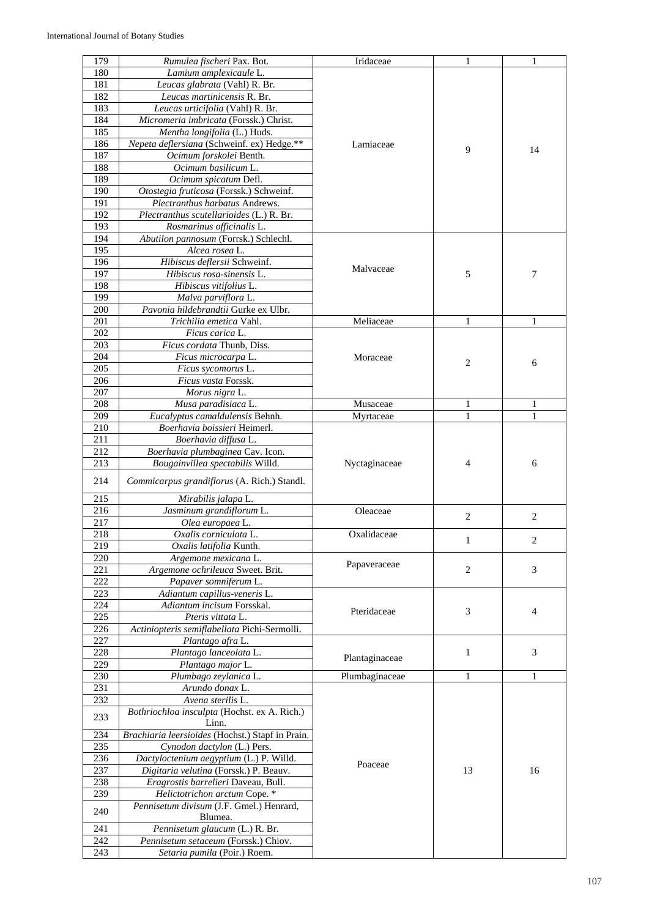| 179 | Rumulea fischeri Pax. Bot.                       | Iridaceae      | 1              | 1              |
|-----|--------------------------------------------------|----------------|----------------|----------------|
| 180 | Lamium amplexicaule L.                           |                |                |                |
| 181 | Leucas glabrata (Vahl) R. Br.                    |                |                |                |
|     |                                                  |                |                |                |
| 182 | Leucas martinicensis R. Br.                      |                |                |                |
| 183 | Leucas urticifolia (Vahl) R. Br.                 |                |                |                |
| 184 | Micromeria imbricata (Forssk.) Christ.           |                |                |                |
| 185 | Mentha longifolia (L.) Huds.                     |                |                |                |
| 186 | Nepeta deflersiana (Schweinf. ex) Hedge.**       | Lamiaceae      |                |                |
| 187 | Ocimum forskolei Benth.                          |                | 9              | 14             |
| 188 | Ocimum basilicum L.                              |                |                |                |
| 189 | Ocimum spicatum Defl.                            |                |                |                |
| 190 |                                                  |                |                |                |
|     | Otostegia fruticosa (Forssk.) Schweinf.          |                |                |                |
| 191 | Plectranthus barbatus Andrews.                   |                |                |                |
| 192 | Plectranthus scutellarioides (L.) R. Br.         |                |                |                |
| 193 | Rosmarinus officinalis L.                        |                |                |                |
| 194 | Abutilon pannosum (Forrsk.) Schlechl.            |                |                |                |
| 195 | Alcea rosea L.                                   |                |                |                |
| 196 | Hibiscus deflersii Schweinf.                     |                |                |                |
| 197 | Hibiscus rosa-sinensis L.                        | Malvaceae      | 5              | 7              |
| 198 | Hibiscus vitifolius L.                           |                |                |                |
|     |                                                  |                |                |                |
| 199 | Malva parviflora L.                              |                |                |                |
| 200 | Pavonia hildebrandtii Gurke ex Ulbr.             |                |                |                |
| 201 | Trichilia emetica Vahl.                          | Meliaceae      | 1              | 1              |
| 202 | Ficus carica L.                                  |                |                |                |
| 203 | Ficus cordata Thunb, Diss.                       |                |                |                |
| 204 | Ficus microcarpa L.                              | Moraceae       |                |                |
| 205 | Ficus sycomorus L.                               |                | $\overline{2}$ | 6              |
| 206 | Ficus vasta Forssk.                              |                |                |                |
|     |                                                  |                |                |                |
| 207 | Morus nigra L.                                   |                |                |                |
| 208 | Musa paradisiaca L.                              | Musaceae       | 1              | 1              |
| 209 | Eucalyptus camaldulensis Behnh.                  | Myrtaceae      | 1              | $\mathbf{1}$   |
| 210 | Boerhavia boissieri Heimerl.                     |                |                |                |
| 211 | Boerhavia diffusa L.                             |                |                |                |
| 212 | Boerhavia plumbaginea Cav. Icon.                 |                |                |                |
| 213 | Bougainvillea spectabilis Willd.                 | Nyctaginaceae  | 4              | 6              |
|     |                                                  |                |                |                |
| 214 | Commicarpus grandiflorus (A. Rich.) Standl.      |                |                |                |
| 215 | Mirabilis jalapa L.                              |                |                |                |
|     |                                                  |                |                |                |
| 216 | Jasminum grandiflorum L.                         | Oleaceae       | 2              | 2              |
| 217 | Olea europaea L.                                 |                |                |                |
| 218 | Oxalis corniculata L.                            | Oxalidaceae    |                | 2              |
| 219 | Oxalis latifolia Kunth.                          |                |                |                |
| 220 | Argemone mexicana L.                             |                |                |                |
| 221 | Argemone ochrileuca Sweet. Brit.                 | Papaveraceae   | $\overline{c}$ | 3              |
| 222 | Papaver somniferum L.                            |                |                |                |
| 223 | Adiantum capillus-veneris L.                     |                |                |                |
|     |                                                  |                |                |                |
| 224 | Adiantum incisum Forsskal.                       | Pteridaceae    | 3              | $\overline{4}$ |
| 225 | Pteris vittata L.                                |                |                |                |
| 226 | Actiniopteris semiflabellata Pichi-Sermolli.     |                |                |                |
| 227 | Plantago afra L.                                 |                |                |                |
| 228 | Plantago lanceolata L.                           | Plantaginaceae | $\mathbf{1}$   | 3              |
| 229 | Plantago major L.                                |                |                |                |
| 230 | Plumbago zeylanica L.                            | Plumbaginaceae | $\mathbf{1}$   | 1              |
| 231 | Arundo donax L.                                  |                |                |                |
| 232 | Avena sterilis L.                                |                |                |                |
|     | Bothriochloa insculpta (Hochst. ex A. Rich.)     |                |                |                |
| 233 |                                                  |                |                |                |
|     | Linn.                                            |                |                |                |
| 234 | Brachiaria leersioides (Hochst.) Stapf in Prain. |                |                |                |
| 235 | Cynodon dactylon (L.) Pers.                      |                |                |                |
| 236 | Dactyloctenium aegyptium (L.) P. Willd.          | Poaceae        |                |                |
| 237 | Digitaria velutina (Forssk.) P. Beauv.           |                | 13             | 16             |
| 238 | Eragrostis barrelieri Daveau, Bull.              |                |                |                |
| 239 | Helictotrichon arctum Cope. *                    |                |                |                |
|     | Pennisetum divisum (J.F. Gmel.) Henrard,         |                |                |                |
| 240 | Blumea.                                          |                |                |                |
| 241 | Pennisetum glaucum (L.) R. Br.                   |                |                |                |
|     |                                                  |                |                |                |
| 242 | Pennisetum setaceum (Forssk.) Chiov.             |                |                |                |
| 243 | Setaria pumila (Poir.) Roem.                     |                |                |                |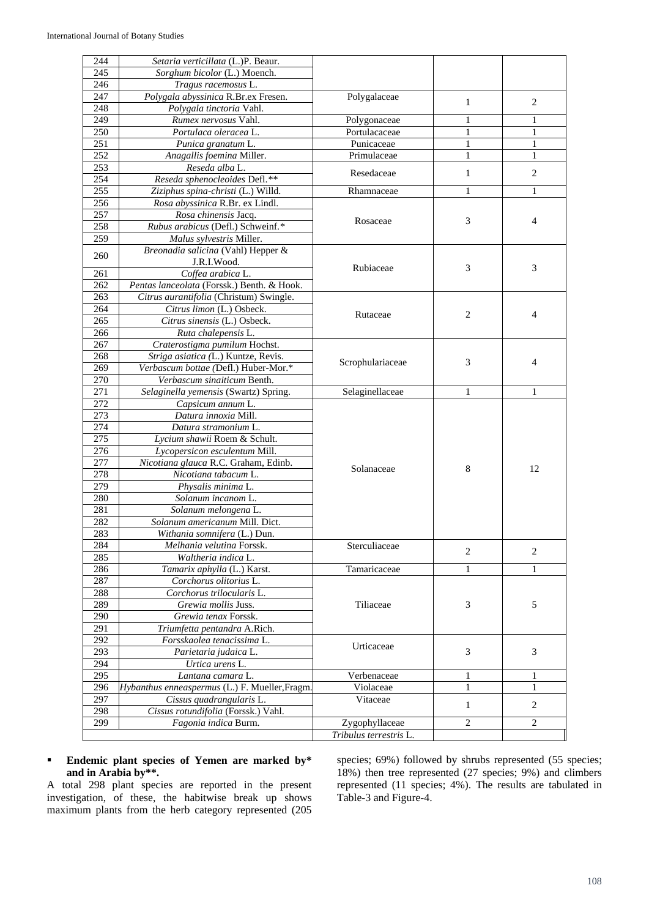| 244 | Setaria verticillata (L.)P. Beaur.             |                        |                             |                |
|-----|------------------------------------------------|------------------------|-----------------------------|----------------|
| 245 | Sorghum bicolor (L.) Moench.                   |                        |                             |                |
| 246 | Tragus racemosus L.                            |                        |                             |                |
| 247 | Polygala abyssinica R.Br.ex Fresen.            | Polygalaceae           | $\mathbf{1}$                | 2              |
| 248 | Polygala tinctoria Vahl.                       |                        |                             |                |
| 249 | Rumex nervosus Vahl.                           | Polygonaceae           | 1                           | 1              |
| 250 | Portulaca oleracea L.                          | Portulacaceae          | 1                           | 1              |
| 251 | Punica granatum L.                             | Punicaceae             | $\mathbf{1}$                | $\mathbf{1}$   |
| 252 | Anagallis foemina Miller.                      | Primulaceae            | 1                           | $\mathbf{1}$   |
| 253 | Reseda alba L.                                 | Resedaceae             | 1                           | 2              |
| 254 | Reseda sphenocleoides Defl.**                  |                        |                             |                |
| 255 | Ziziphus spina-christi (L.) Willd.             | Rhamnaceae             | $\mathbf{1}$                | 1              |
| 256 | Rosa abyssinica R.Br. ex Lindl.                |                        |                             |                |
| 257 | Rosa chinensis Jacq.                           | Rosaceae               | 3                           | $\overline{4}$ |
| 258 | Rubus arabicus (Defl.) Schweinf.*              |                        |                             |                |
| 259 | Malus sylvestris Miller.                       |                        |                             |                |
| 260 | Breonadia salicina (Vahl) Hepper &             |                        |                             |                |
|     | J.R.I.Wood.                                    | Rubiaceae              | 3                           | 3              |
| 261 | Coffea arabica L.                              |                        |                             |                |
| 262 | Pentas lanceolata (Forssk.) Benth. & Hook.     |                        |                             |                |
| 263 | Citrus aurantifolia (Christum) Swingle.        |                        |                             |                |
| 264 | Citrus limon (L.) Osbeck.                      | Rutaceae               | $\overline{c}$              | $\overline{4}$ |
| 265 | Citrus sinensis (L.) Osbeck.                   |                        |                             |                |
| 266 | Ruta chalepensis L.                            |                        |                             |                |
| 267 | Craterostigma pumilum Hochst.                  |                        |                             |                |
| 268 | Striga asiatica (L.) Kuntze, Revis.            | Scrophulariaceae       | 3                           | $\overline{4}$ |
| 269 | Verbascum bottae (Defl.) Huber-Mor.*           |                        |                             |                |
| 270 | Verbascum sinaiticum Benth.                    |                        |                             |                |
| 271 | Selaginella yemensis (Swartz) Spring.          | Selaginellaceae        | 1                           | 1              |
| 272 | Capsicum annum L.                              |                        |                             |                |
| 273 | Datura innoxia Mill.                           |                        |                             |                |
| 274 | Datura stramonium L.                           |                        |                             |                |
| 275 | Lycium shawii Roem & Schult.                   |                        |                             |                |
| 276 | Lycopersicon esculentum Mill.                  |                        |                             |                |
| 277 | Nicotiana glauca R.C. Graham, Edinb.           | Solanaceae             | 8                           | 12             |
| 278 | Nicotiana tabacum L.                           |                        |                             |                |
| 279 | Physalis minima L.                             |                        |                             |                |
| 280 | Solanum incanom L.                             |                        |                             |                |
| 281 | Solanum melongena L.                           |                        |                             |                |
| 282 | Solanum americanum Mill. Dict.                 |                        |                             |                |
| 283 | Withania somnifera (L.) Dun.                   |                        |                             |                |
| 284 | Melhania velutina Forssk.                      | Sterculiaceae          | $\mathbf{2}$                | 2              |
| 285 | Waltheria indica L.                            |                        |                             |                |
| 286 | Tamarix aphylla (L.) Karst.                    | Tamaricaceae           | 1                           | 1              |
| 287 | Corchorus olitorius L.                         |                        |                             |                |
| 288 | Corchorus trilocularis L.                      |                        |                             |                |
| 289 | Grewia mollis Juss.                            | Tiliaceae              | 3                           | 5              |
| 290 | Grewia tenax Forssk.                           |                        |                             |                |
| 291 | Triumfetta pentandra A.Rich.                   |                        |                             |                |
| 292 | Forsskaolea tenacissima L.                     | Urticaceae             |                             |                |
| 293 | Parietaria judaica L.                          |                        | $\ensuremath{\mathfrak{Z}}$ | 3              |
| 294 | Urtica urens L.                                |                        |                             |                |
| 295 | Lantana camara L.                              | Verbenaceae            | 1                           | 1              |
| 296 | Hybanthus enneaspermus (L.) F. Mueller, Fragm. | Violaceae              | 1                           | 1              |
| 297 | Cissus quadrangularis L.                       | Vitaceae               | 1                           | 2              |
| 298 | Cissus rotundifolia (Forssk.) Vahl.            |                        |                             |                |
| 299 | Fagonia indica Burm.                           | Zygophyllaceae         | $\overline{2}$              | $\overline{2}$ |
|     |                                                | Tribulus terrestris L. |                             |                |

# **Endemic plant species of Yemen are marked by\* and in Arabia by\*\*.**

A total 298 plant species are reported in the present investigation, of these, the habitwise break up shows maximum plants from the herb category represented (205

species; 69%) followed by shrubs represented (55 species; 18%) then tree represented (27 species; 9%) and climbers represented (11 species; 4%). The results are tabulated in Table-3 and Figure-4.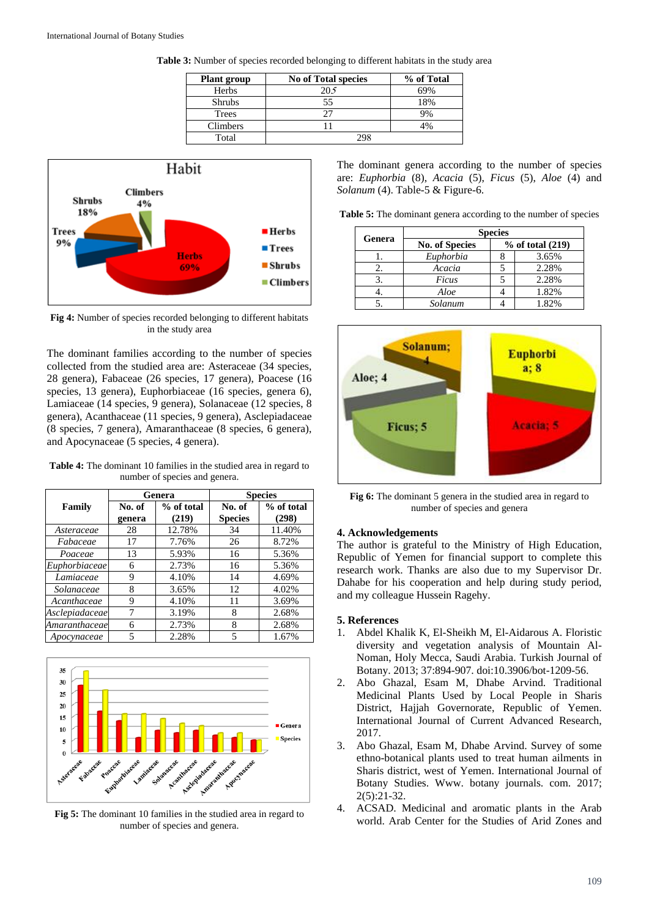| <b>Plant group</b> | <b>No of Total species</b> | % of Total |
|--------------------|----------------------------|------------|
| Herbs              | 205                        |            |
| <b>Shrubs</b>      |                            | 8%         |
| Trees              |                            |            |
| Climbers           |                            |            |
| Total              |                            |            |

**Table 3:** Number of species recorded belonging to different habitats in the study area



**Fig 4:** Number of species recorded belonging to different habitats in the study area

The dominant families according to the number of species collected from the studied area are: Asteraceae (34 species, 28 genera), Fabaceae (26 species, 17 genera), Poacese (16 species, 13 genera), Euphorbiaceae (16 species, genera 6), Lamiaceae (14 species, 9 genera), Solanaceae (12 species, 8 genera), Acanthaceae (11 species, 9 genera), Asclepiadaceae (8 species, 7 genera), Amaranthaceae (8 species, 6 genera), and Apocynaceae (5 species, 4 genera).

**Table 4:** The dominant 10 families in the studied area in regard to number of species and genera.

|                | Genera           |                     | <b>Species</b> |                     |  |
|----------------|------------------|---------------------|----------------|---------------------|--|
| Family         | No. of<br>genera | % of total<br>(219) |                | % of total<br>(298) |  |
| Asteraceae     | 28               | 12.78%              | 34             | 11.40%              |  |
| Fabaceae       | 17               | 7.76%               | 26             | 8.72%               |  |
| Poaceae        | 13               | 5.93%               | 16             | 5.36%               |  |
| Euphorbiaceae  | 6                | 2.73%               | 16             | 5.36%               |  |
| Lamiaceae      | 9                | 4.10%               | 14             | 4.69%               |  |
| Solanaceae     | 8                | 3.65%               | 12             | 4.02%               |  |
| Acanthaceae    | 9                | 4.10%               | 11             | 3.69%               |  |
| Asclepiadaceae | 7                | 3.19%               | 8              | 2.68%               |  |
| Amaranthaceae  | 6                | 2.73%               | 8              | 2.68%               |  |
| Apocynaceae    | 5                | 2.28%               | 5              | 1.67%               |  |



**Fig 5:** The dominant 10 families in the studied area in regard to number of species and genera.

The dominant genera according to the number of species are: *Euphorbia* (8), *Acacia* (5), *Ficus* (5), *Aloe* (4) and *Solanum* (4). Table-5 & Figure-6.

**Table 5:** The dominant genera according to the number of species

| Genera | <b>Species</b>        |  |                      |  |
|--------|-----------------------|--|----------------------|--|
|        | <b>No. of Species</b> |  | $%$ of total $(219)$ |  |
|        | Euphorbia             |  | 3.65%                |  |
|        | Acacia                |  | 2.28%                |  |
|        | Ficus                 |  | 2.28%                |  |
|        | Aloe                  |  | 1.82%                |  |
|        | Solanum               |  | 1.82%                |  |



**Fig 6:** The dominant 5 genera in the studied area in regard to number of species and genera

#### **4. Acknowledgements**

The author is grateful to the Ministry of High Education, Republic of Yemen for financial support to complete this research work. Thanks are also due to my Supervisor Dr. Dahabe for his cooperation and help during study period, and my colleague Hussein Ragehy.

# **5. References**

- 1. Abdel Khalik K, El-Sheikh M, El-Aidarous A. Floristic diversity and vegetation analysis of Mountain Al-Noman, Holy Mecca, Saudi Arabia. Turkish Journal of Botany. 2013; 37:894-907. doi:10.3906/bot-1209-56.
- 2. Abo Ghazal, Esam M, Dhabe Arvind. Traditional Medicinal Plants Used by Local People in Sharis District, Hajjah Governorate, Republic of Yemen. International Journal of Current Advanced Research, 2017.
- 3. Abo Ghazal, Esam M, Dhabe Arvind. Survey of some ethno-botanical plants used to treat human ailments in Sharis district, west of Yemen. International Journal of Botany Studies. Www. botany journals. com. 2017; 2(5):21-32.
- 4. ACSAD. Medicinal and aromatic plants in the Arab world. Arab Center for the Studies of Arid Zones and